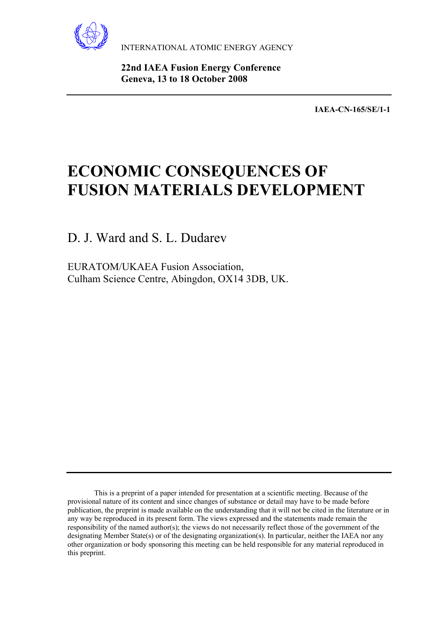

INTERNATIONAL ATOMIC ENERGY AGENCY

 **22nd IAEA Fusion Energy Conference Geneva, 13 to 18 October 2008** 

**IAEA-CN-165/SE/1-1** 

# **ECONOMIC CONSEQUENCES OF FUSION MATERIALS DEVELOPMENT**

D. J. Ward and S. L. Dudarev

EURATOM/UKAEA Fusion Association, Culham Science Centre, Abingdon, OX14 3DB, UK.

This is a preprint of a paper intended for presentation at a scientific meeting. Because of the provisional nature of its content and since changes of substance or detail may have to be made before publication, the preprint is made available on the understanding that it will not be cited in the literature or in any way be reproduced in its present form. The views expressed and the statements made remain the responsibility of the named author(s); the views do not necessarily reflect those of the government of the designating Member State(s) or of the designating organization(s). In particular, neither the IAEA nor any other organization or body sponsoring this meeting can be held responsible for any material reproduced in this preprint.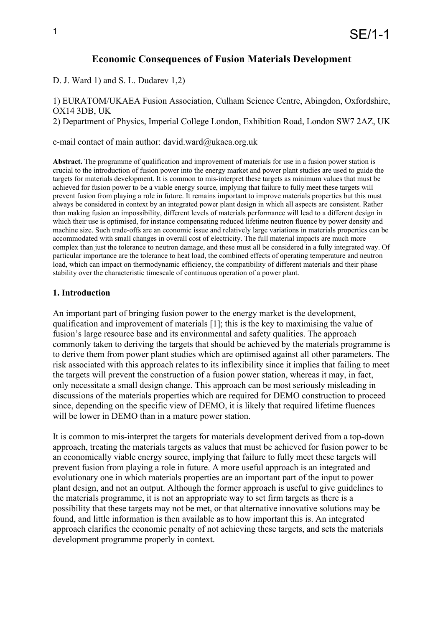# **Economic Consequences of Fusion Materials Development**

D. J. Ward 1) and S. L. Dudarev 1,2)

1) EURATOM/UKAEA Fusion Association, Culham Science Centre, Abingdon, Oxfordshire, OX14 3DB, UK 2) Department of Physics, Imperial College London, Exhibition Road, London SW7 2AZ, UK

e-mail contact of main author: david.ward@ukaea.org.uk

**Abstract.** The programme of qualification and improvement of materials for use in a fusion power station is crucial to the introduction of fusion power into the energy market and power plant studies are used to guide the targets for materials development. It is common to mis-interpret these targets as minimum values that must be achieved for fusion power to be a viable energy source, implying that failure to fully meet these targets will prevent fusion from playing a role in future. It remains important to improve materials properties but this must always be considered in context by an integrated power plant design in which all aspects are consistent. Rather than making fusion an impossibility, different levels of materials performance will lead to a different design in which their use is optimised, for instance compensating reduced lifetime neutron fluence by power density and machine size. Such trade-offs are an economic issue and relatively large variations in materials properties can be accommodated with small changes in overall cost of electricity. The full material impacts are much more complex than just the tolerance to neutron damage, and these must all be considered in a fully integrated way. Of particular importance are the tolerance to heat load, the combined effects of operating temperature and neutron load, which can impact on thermodynamic efficiency, the compatibility of different materials and their phase stability over the characteristic timescale of continuous operation of a power plant.

### **1. Introduction**

An important part of bringing fusion power to the energy market is the development, qualification and improvement of materials [1]; this is the key to maximising the value of fusion's large resource base and its environmental and safety qualities. The approach commonly taken to deriving the targets that should be achieved by the materials programme is to derive them from power plant studies which are optimised against all other parameters. The risk associated with this approach relates to its inflexibility since it implies that failing to meet the targets will prevent the construction of a fusion power station, whereas it may, in fact, only necessitate a small design change. This approach can be most seriously misleading in discussions of the materials properties which are required for DEMO construction to proceed since, depending on the specific view of DEMO, it is likely that required lifetime fluences will be lower in DEMO than in a mature power station.

It is common to mis-interpret the targets for materials development derived from a top-down approach, treating the materials targets as values that must be achieved for fusion power to be an economically viable energy source, implying that failure to fully meet these targets will prevent fusion from playing a role in future. A more useful approach is an integrated and evolutionary one in which materials properties are an important part of the input to power plant design, and not an output. Although the former approach is useful to give guidelines to the materials programme, it is not an appropriate way to set firm targets as there is a possibility that these targets may not be met, or that alternative innovative solutions may be found, and little information is then available as to how important this is. An integrated approach clarifies the economic penalty of not achieving these targets, and sets the materials development programme properly in context.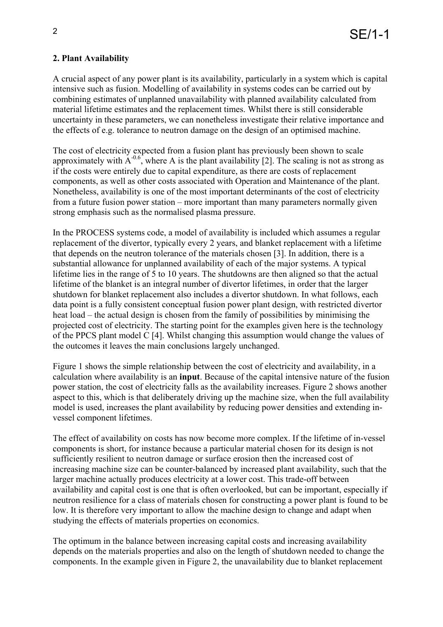# **2. Plant Availability**

A crucial aspect of any power plant is its availability, particularly in a system which is capital intensive such as fusion. Modelling of availability in systems codes can be carried out by combining estimates of unplanned unavailability with planned availability calculated from material lifetime estimates and the replacement times. Whilst there is still considerable uncertainty in these parameters, we can nonetheless investigate their relative importance and the effects of e.g. tolerance to neutron damage on the design of an optimised machine.

The cost of electricity expected from a fusion plant has previously been shown to scale approximately with  $A^{-0.6}$ , where A is the plant availability [2]. The scaling is not as strong as if the costs were entirely due to capital expenditure, as there are costs of replacement components, as well as other costs associated with Operation and Maintenance of the plant. Nonetheless, availability is one of the most important determinants of the cost of electricity from a future fusion power station – more important than many parameters normally given strong emphasis such as the normalised plasma pressure.

In the PROCESS systems code, a model of availability is included which assumes a regular replacement of the divertor, typically every 2 years, and blanket replacement with a lifetime that depends on the neutron tolerance of the materials chosen [3]. In addition, there is a substantial allowance for unplanned availability of each of the major systems. A typical lifetime lies in the range of 5 to 10 years. The shutdowns are then aligned so that the actual lifetime of the blanket is an integral number of divertor lifetimes, in order that the larger shutdown for blanket replacement also includes a divertor shutdown. In what follows, each data point is a fully consistent conceptual fusion power plant design, with restricted divertor heat load – the actual design is chosen from the family of possibilities by minimising the projected cost of electricity. The starting point for the examples given here is the technology of the PPCS plant model C [4]. Whilst changing this assumption would change the values of the outcomes it leaves the main conclusions largely unchanged.

Figure 1 shows the simple relationship between the cost of electricity and availability, in a calculation where availability is an **input**. Because of the capital intensive nature of the fusion power station, the cost of electricity falls as the availability increases. Figure 2 shows another aspect to this, which is that deliberately driving up the machine size, when the full availability model is used, increases the plant availability by reducing power densities and extending invessel component lifetimes.

The effect of availability on costs has now become more complex. If the lifetime of in-vessel components is short, for instance because a particular material chosen for its design is not sufficiently resilient to neutron damage or surface erosion then the increased cost of increasing machine size can be counter-balanced by increased plant availability, such that the larger machine actually produces electricity at a lower cost. This trade-off between availability and capital cost is one that is often overlooked, but can be important, especially if neutron resilience for a class of materials chosen for constructing a power plant is found to be low. It is therefore very important to allow the machine design to change and adapt when studying the effects of materials properties on economics.

The optimum in the balance between increasing capital costs and increasing availability depends on the materials properties and also on the length of shutdown needed to change the components. In the example given in Figure 2, the unavailability due to blanket replacement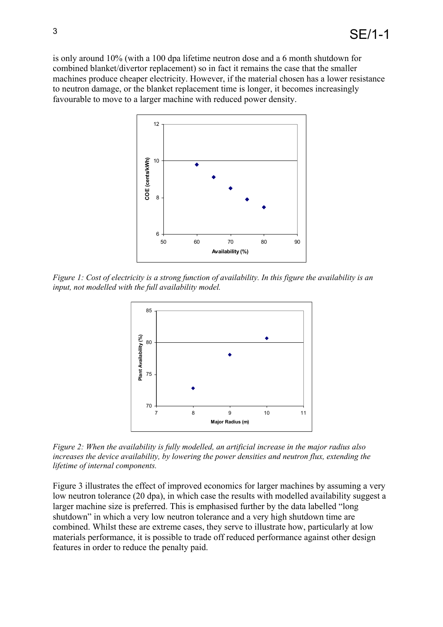is only around 10% (with a 100 dpa lifetime neutron dose and a 6 month shutdown for combined blanket/divertor replacement) so in fact it remains the case that the smaller machines produce cheaper electricity. However, if the material chosen has a lower resistance to neutron damage, or the blanket replacement time is longer, it becomes increasingly favourable to move to a larger machine with reduced power density.



*Figure 1: Cost of electricity is a strong function of availability. In this figure the availability is an input, not modelled with the full availability model.* 



*Figure 2: When the availability is fully modelled, an artificial increase in the major radius also increases the device availability, by lowering the power densities and neutron flux, extending the lifetime of internal components.* 

Figure 3 illustrates the effect of improved economics for larger machines by assuming a very low neutron tolerance (20 dpa), in which case the results with modelled availability suggest a larger machine size is preferred. This is emphasised further by the data labelled "long shutdown" in which a very low neutron tolerance and a very high shutdown time are combined. Whilst these are extreme cases, they serve to illustrate how, particularly at low materials performance, it is possible to trade off reduced performance against other design features in order to reduce the penalty paid.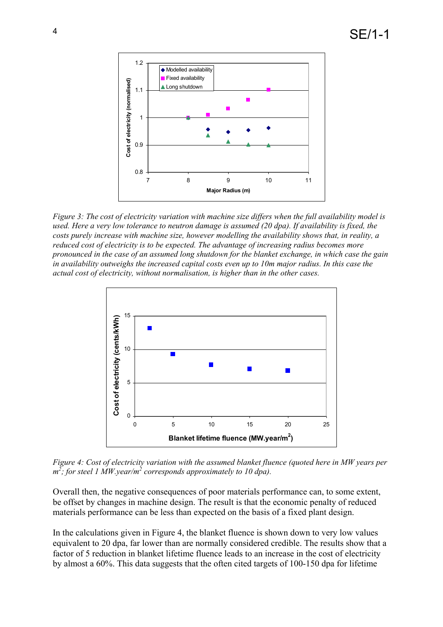

*Figure 3: The cost of electricity variation with machine size differs when the full availability model is used. Here a very low tolerance to neutron damage is assumed (20 dpa). If availability is fixed, the costs purely increase with machine size, however modelling the availability shows that, in reality, a reduced cost of electricity is to be expected. The advantage of increasing radius becomes more pronounced in the case of an assumed long shutdown for the blanket exchange, in which case the gain in availability outweighs the increased capital costs even up to 10m major radius. In this case the actual cost of electricity, without normalisation, is higher than in the other cases.*



*Figure 4: Cost of electricity variation with the assumed blanket fluence (quoted here in MW years per m 2 ; for steel 1 MW.year/m 2 corresponds approximately to 10 dpa).* 

Overall then, the negative consequences of poor materials performance can, to some extent, be offset by changes in machine design. The result is that the economic penalty of reduced materials performance can be less than expected on the basis of a fixed plant design.

In the calculations given in Figure 4, the blanket fluence is shown down to very low values equivalent to 20 dpa, far lower than are normally considered credible. The results show that a factor of 5 reduction in blanket lifetime fluence leads to an increase in the cost of electricity by almost a 60%. This data suggests that the often cited targets of 100-150 dpa for lifetime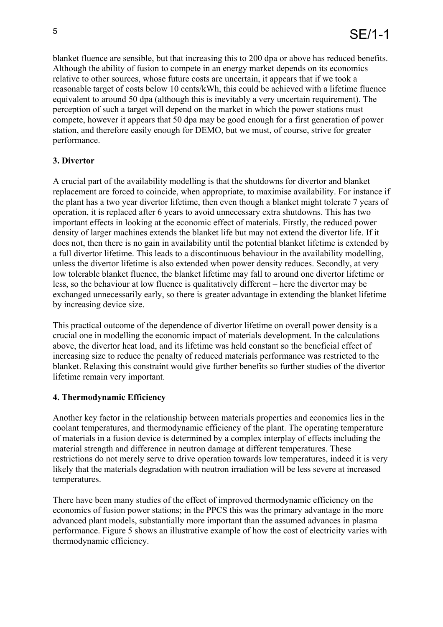blanket fluence are sensible, but that increasing this to 200 dpa or above has reduced benefits. Although the ability of fusion to compete in an energy market depends on its economics relative to other sources, whose future costs are uncertain, it appears that if we took a reasonable target of costs below 10 cents/kWh, this could be achieved with a lifetime fluence equivalent to around 50 dpa (although this is inevitably a very uncertain requirement). The perception of such a target will depend on the market in which the power stations must compete, however it appears that 50 dpa may be good enough for a first generation of power station, and therefore easily enough for DEMO, but we must, of course, strive for greater performance.

# **3. Divertor**

A crucial part of the availability modelling is that the shutdowns for divertor and blanket replacement are forced to coincide, when appropriate, to maximise availability. For instance if the plant has a two year divertor lifetime, then even though a blanket might tolerate 7 years of operation, it is replaced after 6 years to avoid unnecessary extra shutdowns. This has two important effects in looking at the economic effect of materials. Firstly, the reduced power density of larger machines extends the blanket life but may not extend the divertor life. If it does not, then there is no gain in availability until the potential blanket lifetime is extended by a full divertor lifetime. This leads to a discontinuous behaviour in the availability modelling, unless the divertor lifetime is also extended when power density reduces. Secondly, at very low tolerable blanket fluence, the blanket lifetime may fall to around one divertor lifetime or less, so the behaviour at low fluence is qualitatively different – here the divertor may be exchanged unnecessarily early, so there is greater advantage in extending the blanket lifetime by increasing device size.

This practical outcome of the dependence of divertor lifetime on overall power density is a crucial one in modelling the economic impact of materials development. In the calculations above, the divertor heat load, and its lifetime was held constant so the beneficial effect of increasing size to reduce the penalty of reduced materials performance was restricted to the blanket. Relaxing this constraint would give further benefits so further studies of the divertor lifetime remain very important.

# **4. Thermodynamic Efficiency**

Another key factor in the relationship between materials properties and economics lies in the coolant temperatures, and thermodynamic efficiency of the plant. The operating temperature of materials in a fusion device is determined by a complex interplay of effects including the material strength and difference in neutron damage at different temperatures. These restrictions do not merely serve to drive operation towards low temperatures, indeed it is very likely that the materials degradation with neutron irradiation will be less severe at increased temperatures.

There have been many studies of the effect of improved thermodynamic efficiency on the economics of fusion power stations; in the PPCS this was the primary advantage in the more advanced plant models, substantially more important than the assumed advances in plasma performance. Figure 5 shows an illustrative example of how the cost of electricity varies with thermodynamic efficiency.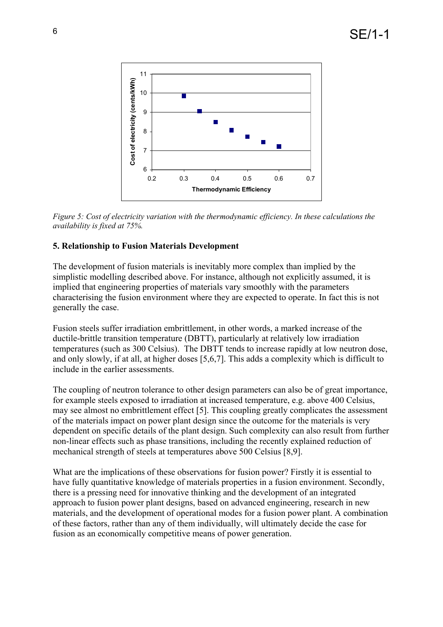

*Figure 5: Cost of electricity variation with the thermodynamic efficiency. In these calculations the availability is fixed at 75%.*

### **5. Relationship to Fusion Materials Development**

The development of fusion materials is inevitably more complex than implied by the simplistic modelling described above. For instance, although not explicitly assumed, it is implied that engineering properties of materials vary smoothly with the parameters characterising the fusion environment where they are expected to operate. In fact this is not generally the case.

Fusion steels suffer irradiation embrittlement, in other words, a marked increase of the ductile-brittle transition temperature (DBTT), particularly at relatively low irradiation temperatures (such as 300 Celsius). The DBTT tends to increase rapidly at low neutron dose, and only slowly, if at all, at higher doses [5,6,7]. This adds a complexity which is difficult to include in the earlier assessments.

The coupling of neutron tolerance to other design parameters can also be of great importance, for example steels exposed to irradiation at increased temperature, e.g. above 400 Celsius, may see almost no embrittlement effect [5]. This coupling greatly complicates the assessment of the materials impact on power plant design since the outcome for the materials is very dependent on specific details of the plant design. Such complexity can also result from further non-linear effects such as phase transitions, including the recently explained reduction of mechanical strength of steels at temperatures above 500 Celsius [8,9].

What are the implications of these observations for fusion power? Firstly it is essential to have fully quantitative knowledge of materials properties in a fusion environment. Secondly, there is a pressing need for innovative thinking and the development of an integrated approach to fusion power plant designs, based on advanced engineering, research in new materials, and the development of operational modes for a fusion power plant. A combination of these factors, rather than any of them individually, will ultimately decide the case for fusion as an economically competitive means of power generation.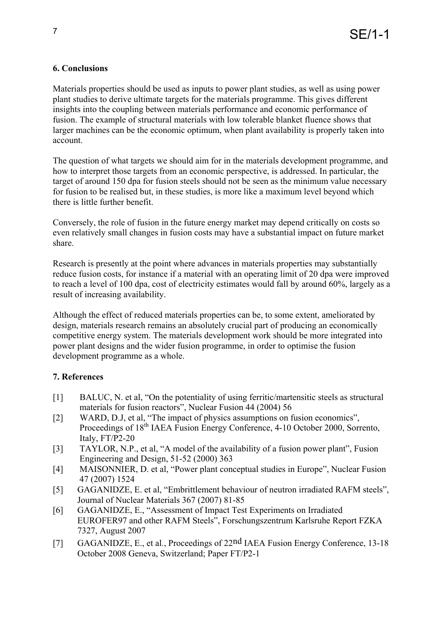# **6. Conclusions**

Materials properties should be used as inputs to power plant studies, as well as using power plant studies to derive ultimate targets for the materials programme. This gives different insights into the coupling between materials performance and economic performance of fusion. The example of structural materials with low tolerable blanket fluence shows that larger machines can be the economic optimum, when plant availability is properly taken into account.

The question of what targets we should aim for in the materials development programme, and how to interpret those targets from an economic perspective, is addressed. In particular, the target of around 150 dpa for fusion steels should not be seen as the minimum value necessary for fusion to be realised but, in these studies, is more like a maximum level beyond which there is little further benefit.

Conversely, the role of fusion in the future energy market may depend critically on costs so even relatively small changes in fusion costs may have a substantial impact on future market share.

Research is presently at the point where advances in materials properties may substantially reduce fusion costs, for instance if a material with an operating limit of 20 dpa were improved to reach a level of 100 dpa, cost of electricity estimates would fall by around 60%, largely as a result of increasing availability.

Although the effect of reduced materials properties can be, to some extent, ameliorated by design, materials research remains an absolutely crucial part of producing an economically competitive energy system. The materials development work should be more integrated into power plant designs and the wider fusion programme, in order to optimise the fusion development programme as a whole.

#### **7. References**

- [1] BALUC, N. et al, "On the potentiality of using ferritic/martensitic steels as structural materials for fusion reactors", Nuclear Fusion 44 (2004) 56
- [2] WARD, D.J, et al, "The impact of physics assumptions on fusion economics", Proceedings of 18<sup>th</sup> IAEA Fusion Energy Conference, 4-10 October 2000, Sorrento, Italy, FT/P2-20
- [3] TAYLOR, N.P., et al, "A model of the availability of a fusion power plant", Fusion Engineering and Design, 51-52 (2000) 363
- [4] MAISONNIER, D. et al, "Power plant conceptual studies in Europe", Nuclear Fusion 47 (2007) 1524
- [5] GAGANIDZE, E. et al, "Embrittlement behaviour of neutron irradiated RAFM steels", Journal of Nuclear Materials 367 (2007) 81-85
- [6] GAGANIDZE, E., "Assessment of Impact Test Experiments on Irradiated EUROFER97 and other RAFM Steels", Forschungszentrum Karlsruhe Report FZKA 7327, August 2007
- [7] GAGANIDZE, E., et al*.*, Proceedings of 22nd IAEA Fusion Energy Conference, 13-18 October 2008 Geneva, Switzerland; Paper FT/P2-1